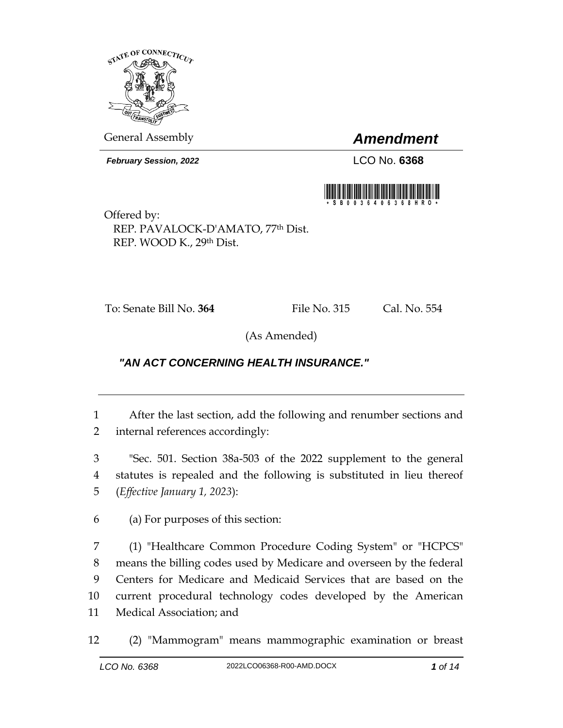

General Assembly *Amendment*

*February Session, 2022* LCO No. **6368**



Offered by: REP. PAVALOCK-D'AMATO, 77th Dist. REP. WOOD K., 29th Dist.

To: Senate Bill No. **364** File No. 315 Cal. No. 554

(As Amended)

## *"AN ACT CONCERNING HEALTH INSURANCE."*

1 After the last section, add the following and renumber sections and 2 internal references accordingly:

3 "Sec. 501. Section 38a-503 of the 2022 supplement to the general 4 statutes is repealed and the following is substituted in lieu thereof 5 (*Effective January 1, 2023*):

6 (a) For purposes of this section:

 (1) "Healthcare Common Procedure Coding System" or "HCPCS" means the billing codes used by Medicare and overseen by the federal Centers for Medicare and Medicaid Services that are based on the current procedural technology codes developed by the American Medical Association; and

12 (2) "Mammogram" means mammographic examination or breast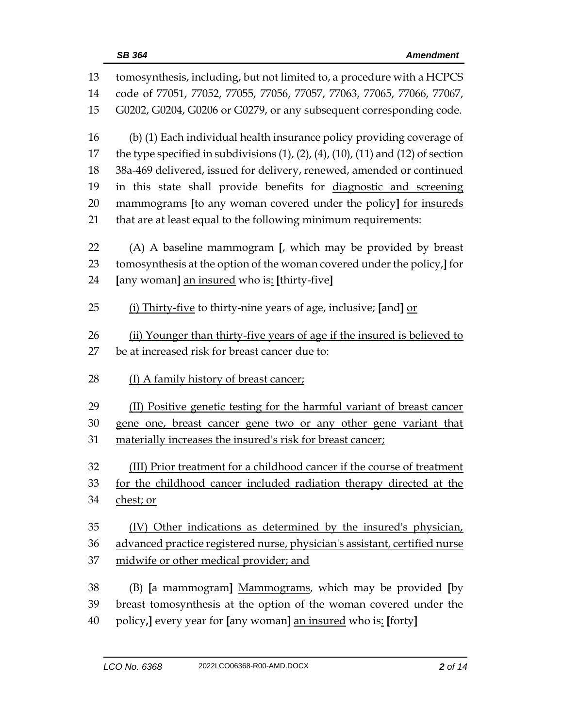| 13 | tomosynthesis, including, but not limited to, a procedure with a HCPCS                           |  |  |
|----|--------------------------------------------------------------------------------------------------|--|--|
| 14 | code of 77051, 77052, 77055, 77056, 77057, 77063, 77065, 77066, 77067,                           |  |  |
| 15 | G0202, G0204, G0206 or G0279, or any subsequent corresponding code.                              |  |  |
| 16 | (b) (1) Each individual health insurance policy providing coverage of                            |  |  |
| 17 | the type specified in subdivisions $(1)$ , $(2)$ , $(4)$ , $(10)$ , $(11)$ and $(12)$ of section |  |  |
| 18 | 38a-469 delivered, issued for delivery, renewed, amended or continued                            |  |  |
| 19 | in this state shall provide benefits for diagnostic and screening                                |  |  |
| 20 | mammograms [to any woman covered under the policy] for insureds                                  |  |  |
| 21 | that are at least equal to the following minimum requirements:                                   |  |  |
| 22 | (A) A baseline mammogram [, which may be provided by breast                                      |  |  |
| 23 | tomosynthesis at the option of the woman covered under the policy, or                            |  |  |
| 24 | [any woman] an insured who is: [thirty-five]                                                     |  |  |
| 25 | (i) Thirty-five to thirty-nine years of age, inclusive; [and] or                                 |  |  |
| 26 | (ii) Younger than thirty-five years of age if the insured is believed to                         |  |  |
| 27 | be at increased risk for breast cancer due to:                                                   |  |  |
| 28 | (I) A family history of breast cancer;                                                           |  |  |
| 29 | (II) Positive genetic testing for the harmful variant of breast cancer                           |  |  |
| 30 | gene one, breast cancer gene two or any other gene variant that                                  |  |  |
| 31 | materially increases the insured's risk for breast cancer;                                       |  |  |
| 32 | (III) Prior treatment for a childhood cancer if the course of treatment                          |  |  |
| 33 | for the childhood cancer included radiation therapy directed at the                              |  |  |
| 34 | chest; or                                                                                        |  |  |
| 35 | (IV) Other indications as determined by the insured's physician,                                 |  |  |
| 36 | advanced practice registered nurse, physician's assistant, certified nurse                       |  |  |
| 37 | midwife or other medical provider; and                                                           |  |  |
| 38 | (B) [a mammogram] Mammograms, which may be provided [by                                          |  |  |
| 39 | breast tomosynthesis at the option of the woman covered under the                                |  |  |
| 40 | policy, every year for [any woman] an insured who is: [forty]                                    |  |  |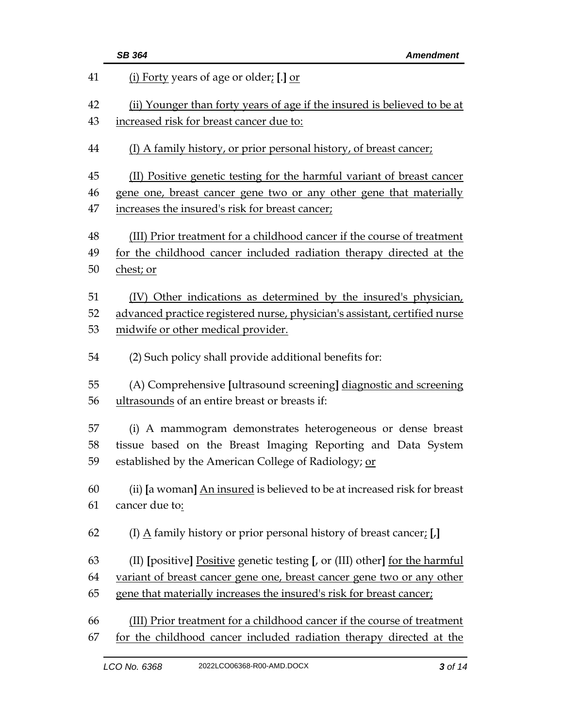|                | <b>SB 364</b><br><b>Amendment</b>                                                                                                                           |  |  |
|----------------|-------------------------------------------------------------------------------------------------------------------------------------------------------------|--|--|
| 41             | (i) Forty years of age or older; [.] or                                                                                                                     |  |  |
| 42             | (ii) Younger than forty years of age if the insured is believed to be at                                                                                    |  |  |
| 43             | increased risk for breast cancer due to:                                                                                                                    |  |  |
| 44             | (I) A family history, or prior personal history, of breast cancer;                                                                                          |  |  |
| 45             | (II) Positive genetic testing for the harmful variant of breast cancer                                                                                      |  |  |
| 46             | gene one, breast cancer gene two or any other gene that materially                                                                                          |  |  |
| 47             | increases the insured's risk for breast cancer;                                                                                                             |  |  |
| 48<br>49<br>50 | (III) Prior treatment for a childhood cancer if the course of treatment<br>for the childhood cancer included radiation therapy directed at the<br>chest; or |  |  |
| 51             | (IV) Other indications as determined by the insured's physician,                                                                                            |  |  |
| 52             | advanced practice registered nurse, physician's assistant, certified nurse                                                                                  |  |  |
| 53             | midwife or other medical provider.                                                                                                                          |  |  |
| 54             | (2) Such policy shall provide additional benefits for:                                                                                                      |  |  |
| 55             | (A) Comprehensive [ultrasound screening] diagnostic and screening                                                                                           |  |  |
| 56             | ultrasounds of an entire breast or breasts if:                                                                                                              |  |  |
| 57<br>58       | (i) A mammogram demonstrates heterogeneous or dense breast<br>tissue based on the Breast Imaging Reporting and Data System                                  |  |  |
| 59             | established by the American College of Radiology; or                                                                                                        |  |  |
| 60             | (ii) [a woman] An insured is believed to be at increased risk for breast                                                                                    |  |  |
| 61             | cancer due to:                                                                                                                                              |  |  |
| 62             | (I) $\underline{A}$ family history or prior personal history of breast cancer; [,]                                                                          |  |  |
| 63             | (II) [positive] Positive genetic testing [, or (III) other] for the harmful                                                                                 |  |  |
| 64             | variant of breast cancer gene one, breast cancer gene two or any other                                                                                      |  |  |
| 65             | gene that materially increases the insured's risk for breast cancer;                                                                                        |  |  |
| 66             | (III) Prior treatment for a childhood cancer if the course of treatment                                                                                     |  |  |
| 67             | for the childhood cancer included radiation therapy directed at the                                                                                         |  |  |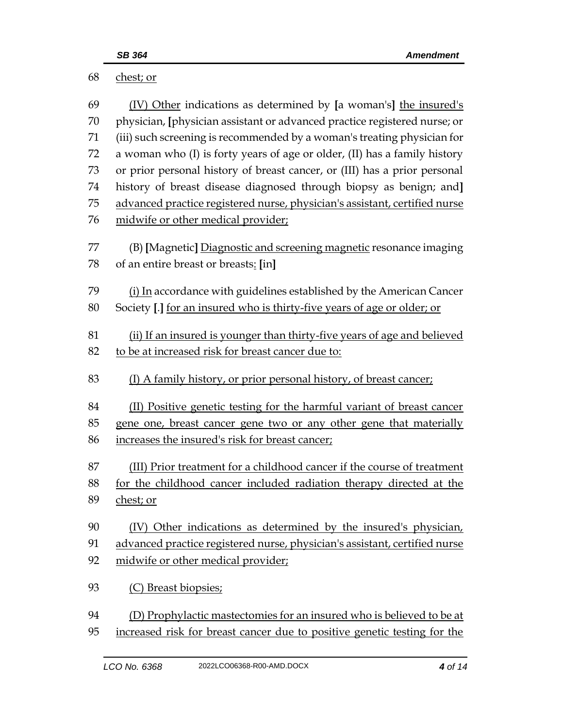| 68       | chest; or                                                                                                                                      |  |  |
|----------|------------------------------------------------------------------------------------------------------------------------------------------------|--|--|
| 69<br>70 | (IV) Other indications as determined by [a woman's] the insured's<br>physician, [physician assistant or advanced practice registered nurse; or |  |  |
| 71       | (iii) such screening is recommended by a woman's treating physician for                                                                        |  |  |
| 72       | a woman who (I) is forty years of age or older, (II) has a family history                                                                      |  |  |
| 73       | or prior personal history of breast cancer, or (III) has a prior personal                                                                      |  |  |
| 74       | history of breast disease diagnosed through biopsy as benign; and]                                                                             |  |  |
| 75       | advanced practice registered nurse, physician's assistant, certified nurse                                                                     |  |  |
| 76       | midwife or other medical provider;                                                                                                             |  |  |
| 77       | (B) [Magnetic] Diagnostic and screening magnetic resonance imaging                                                                             |  |  |
| 78       | of an entire breast or breasts: [in]                                                                                                           |  |  |
| 79       | (i) In accordance with guidelines established by the American Cancer                                                                           |  |  |
| 80       | Society [.] for an insured who is thirty-five years of age or older; or                                                                        |  |  |
| 81       | (ii) If an insured is younger than thirty-five years of age and believed                                                                       |  |  |
| 82       | to be at increased risk for breast cancer due to:                                                                                              |  |  |
| 83       | (I) A family history, or prior personal history, of breast cancer;                                                                             |  |  |
| 84       | (II) Positive genetic testing for the harmful variant of breast cancer                                                                         |  |  |
| 85       | gene one, breast cancer gene two or any other gene that materially                                                                             |  |  |
| 86       | increases the insured's risk for breast cancer;                                                                                                |  |  |
| 87       | (III) Prior treatment for a childhood cancer if the course of treatment                                                                        |  |  |
| 88       | for the childhood cancer included radiation therapy directed at the                                                                            |  |  |
| 89       | chest; or                                                                                                                                      |  |  |
| 90       | (IV) Other indications as determined by the insured's physician,                                                                               |  |  |
| 91       | advanced practice registered nurse, physician's assistant, certified nurse                                                                     |  |  |
| 92       | midwife or other medical provider;                                                                                                             |  |  |
| 93       | (C) Breast biopsies;                                                                                                                           |  |  |
| 94       | (D) Prophylactic mastectomies for an insured who is believed to be at                                                                          |  |  |
| 95       | increased risk for breast cancer due to positive genetic testing for the                                                                       |  |  |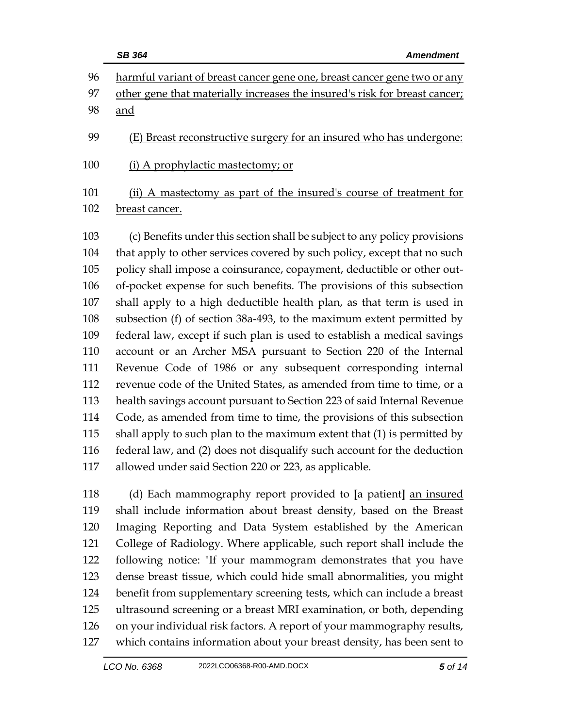|                                                                    | <b>SB 364</b><br><b>Amendment</b>                                                                                                                                                                                                                                                                                                                                                                                                                                                                                                                                                                                                                                                                                                                    |  |
|--------------------------------------------------------------------|------------------------------------------------------------------------------------------------------------------------------------------------------------------------------------------------------------------------------------------------------------------------------------------------------------------------------------------------------------------------------------------------------------------------------------------------------------------------------------------------------------------------------------------------------------------------------------------------------------------------------------------------------------------------------------------------------------------------------------------------------|--|
| 96                                                                 | harmful variant of breast cancer gene one, breast cancer gene two or any                                                                                                                                                                                                                                                                                                                                                                                                                                                                                                                                                                                                                                                                             |  |
| 97                                                                 | other gene that materially increases the insured's risk for breast cancer;                                                                                                                                                                                                                                                                                                                                                                                                                                                                                                                                                                                                                                                                           |  |
| 98                                                                 | and                                                                                                                                                                                                                                                                                                                                                                                                                                                                                                                                                                                                                                                                                                                                                  |  |
| 99                                                                 | (E) Breast reconstructive surgery for an insured who has undergone:                                                                                                                                                                                                                                                                                                                                                                                                                                                                                                                                                                                                                                                                                  |  |
| 100                                                                | (i) A prophylactic mastectomy; or                                                                                                                                                                                                                                                                                                                                                                                                                                                                                                                                                                                                                                                                                                                    |  |
| 101                                                                | (ii) A mastectomy as part of the insured's course of treatment for                                                                                                                                                                                                                                                                                                                                                                                                                                                                                                                                                                                                                                                                                   |  |
| 102                                                                | breast cancer.                                                                                                                                                                                                                                                                                                                                                                                                                                                                                                                                                                                                                                                                                                                                       |  |
| 103<br>104<br>105<br>106<br>107<br>108<br>109<br>110<br>111<br>112 | (c) Benefits under this section shall be subject to any policy provisions<br>that apply to other services covered by such policy, except that no such<br>policy shall impose a coinsurance, copayment, deductible or other out-<br>of-pocket expense for such benefits. The provisions of this subsection<br>shall apply to a high deductible health plan, as that term is used in<br>subsection (f) of section 38a-493, to the maximum extent permitted by<br>federal law, except if such plan is used to establish a medical savings<br>account or an Archer MSA pursuant to Section 220 of the Internal<br>Revenue Code of 1986 or any subsequent corresponding internal<br>revenue code of the United States, as amended from time to time, or a |  |
| 113                                                                |                                                                                                                                                                                                                                                                                                                                                                                                                                                                                                                                                                                                                                                                                                                                                      |  |
| 114                                                                | health savings account pursuant to Section 223 of said Internal Revenue                                                                                                                                                                                                                                                                                                                                                                                                                                                                                                                                                                                                                                                                              |  |
| 115                                                                | Code, as amended from time to time, the provisions of this subsection<br>shall apply to such plan to the maximum extent that (1) is permitted by                                                                                                                                                                                                                                                                                                                                                                                                                                                                                                                                                                                                     |  |
| 116                                                                | federal law, and (2) does not disqualify such account for the deduction                                                                                                                                                                                                                                                                                                                                                                                                                                                                                                                                                                                                                                                                              |  |
| 117                                                                | allowed under said Section 220 or 223, as applicable.                                                                                                                                                                                                                                                                                                                                                                                                                                                                                                                                                                                                                                                                                                |  |
|                                                                    |                                                                                                                                                                                                                                                                                                                                                                                                                                                                                                                                                                                                                                                                                                                                                      |  |

 (d) Each mammography report provided to **[**a patient**]** an insured shall include information about breast density, based on the Breast Imaging Reporting and Data System established by the American College of Radiology. Where applicable, such report shall include the following notice: "If your mammogram demonstrates that you have dense breast tissue, which could hide small abnormalities, you might benefit from supplementary screening tests, which can include a breast ultrasound screening or a breast MRI examination, or both, depending on your individual risk factors. A report of your mammography results, which contains information about your breast density, has been sent to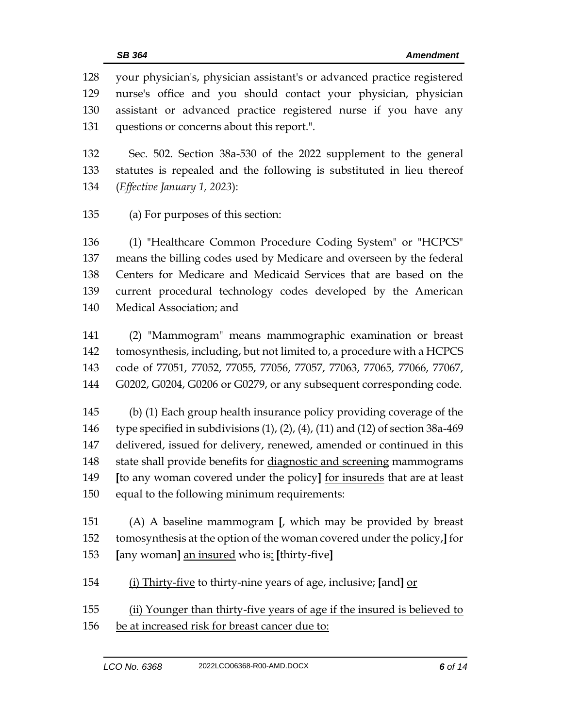your physician's, physician assistant's or advanced practice registered nurse's office and you should contact your physician, physician assistant or advanced practice registered nurse if you have any questions or concerns about this report.".

 Sec. 502. Section 38a-530 of the 2022 supplement to the general statutes is repealed and the following is substituted in lieu thereof (*Effective January 1, 2023*):

(a) For purposes of this section:

 (1) "Healthcare Common Procedure Coding System" or "HCPCS" means the billing codes used by Medicare and overseen by the federal Centers for Medicare and Medicaid Services that are based on the current procedural technology codes developed by the American Medical Association; and

 (2) "Mammogram" means mammographic examination or breast tomosynthesis, including, but not limited to, a procedure with a HCPCS code of 77051, 77052, 77055, 77056, 77057, 77063, 77065, 77066, 77067, G0202, G0204, G0206 or G0279, or any subsequent corresponding code.

 (b) (1) Each group health insurance policy providing coverage of the type specified in subdivisions (1), (2), (4), (11) and (12) of section 38a-469 delivered, issued for delivery, renewed, amended or continued in this state shall provide benefits for diagnostic and screening mammograms **[**to any woman covered under the policy**]** for insureds that are at least equal to the following minimum requirements:

 (A) A baseline mammogram **[**, which may be provided by breast tomosynthesis at the option of the woman covered under the policy,**]** for **[**any woman**]** an insured who is: **[**thirty-five**]**

(i) Thirty-five to thirty-nine years of age, inclusive; **[**and**]** or

 (ii) Younger than thirty-five years of age if the insured is believed to be at increased risk for breast cancer due to: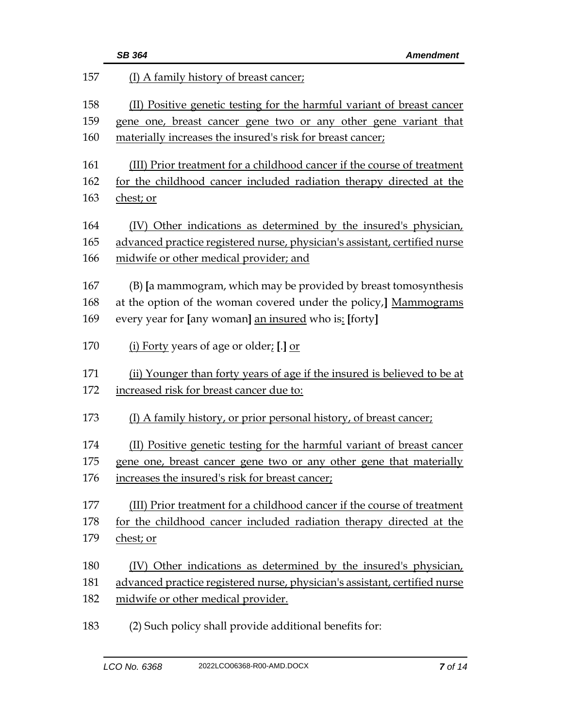|     | <b>SB 364</b><br><b>Amendment</b>                                          |  |  |
|-----|----------------------------------------------------------------------------|--|--|
| 157 | (I) A family history of breast cancer;                                     |  |  |
| 158 | (II) Positive genetic testing for the harmful variant of breast cancer     |  |  |
| 159 | gene one, breast cancer gene two or any other gene variant that            |  |  |
| 160 | materially increases the insured's risk for breast cancer;                 |  |  |
| 161 | (III) Prior treatment for a childhood cancer if the course of treatment    |  |  |
| 162 | for the childhood cancer included radiation therapy directed at the        |  |  |
| 163 | chest; or                                                                  |  |  |
| 164 | (IV) Other indications as determined by the insured's physician,           |  |  |
| 165 | advanced practice registered nurse, physician's assistant, certified nurse |  |  |
| 166 | midwife or other medical provider; and                                     |  |  |
| 167 | (B) [a mammogram, which may be provided by breast tomosynthesis            |  |  |
| 168 | at the option of the woman covered under the policy,] Mammograms           |  |  |
| 169 | every year for [any woman] an insured who is: [forty]                      |  |  |
| 170 | (i) Forty years of age or older; [.] or                                    |  |  |
| 171 | (ii) Younger than forty years of age if the insured is believed to be at   |  |  |
| 172 | increased risk for breast cancer due to:                                   |  |  |
| 173 | (I) A family history, or prior personal history, of breast cancer;         |  |  |
| 174 | (II) Positive genetic testing for the harmful variant of breast cancer     |  |  |
| 175 | gene one, breast cancer gene two or any other gene that materially         |  |  |
| 176 | increases the insured's risk for breast cancer;                            |  |  |
| 177 | (III) Prior treatment for a childhood cancer if the course of treatment    |  |  |
| 178 | for the childhood cancer included radiation therapy directed at the        |  |  |
| 179 | chest; or                                                                  |  |  |
| 180 | (IV) Other indications as determined by the insured's physician,           |  |  |
| 181 | advanced practice registered nurse, physician's assistant, certified nurse |  |  |
| 182 | midwife or other medical provider.                                         |  |  |
|     |                                                                            |  |  |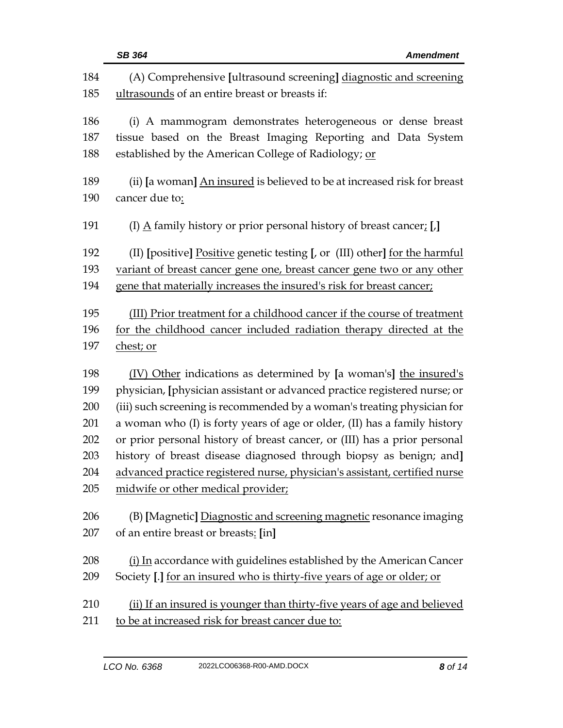|            | SB 364<br><b>Amendment</b>                                                                                          |  |  |
|------------|---------------------------------------------------------------------------------------------------------------------|--|--|
| 184<br>185 | (A) Comprehensive [ultrasound screening] diagnostic and screening<br>ultrasounds of an entire breast or breasts if: |  |  |
|            |                                                                                                                     |  |  |
| 186        | (i) A mammogram demonstrates heterogeneous or dense breast                                                          |  |  |
| 187        | tissue based on the Breast Imaging Reporting and Data System                                                        |  |  |
| 188        | established by the American College of Radiology; or                                                                |  |  |
| 189        | (ii) [a woman] An insured is believed to be at increased risk for breast                                            |  |  |
| 190        | cancer due to:                                                                                                      |  |  |
| 191        | (I) $\underline{A}$ family history or prior personal history of breast cancer, [,]                                  |  |  |
| 192        | (II) [positive] Positive genetic testing [, or (III) other] for the harmful                                         |  |  |
| 193        | variant of breast cancer gene one, breast cancer gene two or any other                                              |  |  |
| 194        | gene that materially increases the insured's risk for breast cancer;                                                |  |  |
| 195        | (III) Prior treatment for a childhood cancer if the course of treatment                                             |  |  |
| 196        | for the childhood cancer included radiation therapy directed at the                                                 |  |  |
| 197        | chest; or                                                                                                           |  |  |
| 198        | (IV) Other indications as determined by [a woman's] the insured's                                                   |  |  |
| 199        | physician, [physician assistant or advanced practice registered nurse; or                                           |  |  |
| 200        | (iii) such screening is recommended by a woman's treating physician for                                             |  |  |
| 201        | a woman who (I) is forty years of age or older, (II) has a family history                                           |  |  |
| 202        | or prior personal history of breast cancer, or (III) has a prior personal                                           |  |  |
| 203        | history of breast disease diagnosed through biopsy as benign; and]                                                  |  |  |
| 204        | advanced practice registered nurse, physician's assistant, certified nurse                                          |  |  |
| 205        | midwife or other medical provider;                                                                                  |  |  |
| 206        | (B) [Magnetic] Diagnostic and screening magnetic resonance imaging                                                  |  |  |
| 207        | of an entire breast or breasts: [in]                                                                                |  |  |
|            |                                                                                                                     |  |  |
| 208        | (i) In accordance with guidelines established by the American Cancer                                                |  |  |
| 209        | Society [.] for an insured who is thirty-five years of age or older; or                                             |  |  |
| 210        | (ii) If an insured is younger than thirty-five years of age and believed                                            |  |  |
| 211        | to be at increased risk for breast cancer due to:                                                                   |  |  |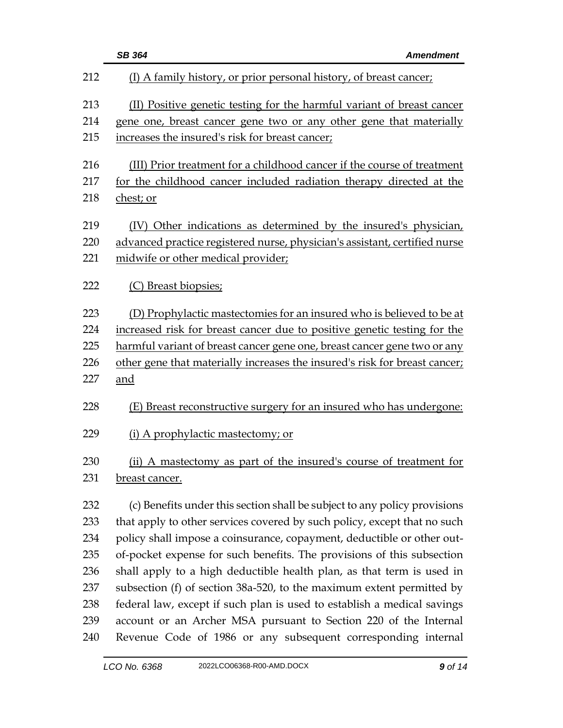|     | <b>SB 364</b><br><b>Amendment</b>                                          |  |  |
|-----|----------------------------------------------------------------------------|--|--|
| 212 | (I) A family history, or prior personal history, of breast cancer;         |  |  |
| 213 | (II) Positive genetic testing for the harmful variant of breast cancer     |  |  |
| 214 | gene one, breast cancer gene two or any other gene that materially         |  |  |
| 215 | increases the insured's risk for breast cancer;                            |  |  |
| 216 | (III) Prior treatment for a childhood cancer if the course of treatment    |  |  |
| 217 | for the childhood cancer included radiation therapy directed at the        |  |  |
| 218 | chest; or                                                                  |  |  |
| 219 | (IV) Other indications as determined by the insured's physician,           |  |  |
| 220 | advanced practice registered nurse, physician's assistant, certified nurse |  |  |
| 221 | midwife or other medical provider;                                         |  |  |
| 222 | (C) Breast biopsies;                                                       |  |  |
| 223 | (D) Prophylactic mastectomies for an insured who is believed to be at      |  |  |
| 224 | increased risk for breast cancer due to positive genetic testing for the   |  |  |
| 225 | harmful variant of breast cancer gene one, breast cancer gene two or any   |  |  |
| 226 | other gene that materially increases the insured's risk for breast cancer; |  |  |
| 227 | and                                                                        |  |  |
| 228 | (E) Breast reconstructive surgery for an insured who has undergone:        |  |  |
| 229 | (i) A prophylactic mastectomy; or                                          |  |  |
| 230 | (ii) A mastectomy as part of the insured's course of treatment for         |  |  |
| 231 | breast cancer.                                                             |  |  |
| 232 | (c) Benefits under this section shall be subject to any policy provisions  |  |  |
| 233 | that apply to other services covered by such policy, except that no such   |  |  |
| 234 | policy shall impose a coinsurance, copayment, deductible or other out-     |  |  |
| 235 | of-pocket expense for such benefits. The provisions of this subsection     |  |  |
| 236 | shall apply to a high deductible health plan, as that term is used in      |  |  |
| 237 | subsection (f) of section 38a-520, to the maximum extent permitted by      |  |  |
| 238 | federal law, except if such plan is used to establish a medical savings    |  |  |
| 239 | account or an Archer MSA pursuant to Section 220 of the Internal           |  |  |
| 240 | Revenue Code of 1986 or any subsequent corresponding internal              |  |  |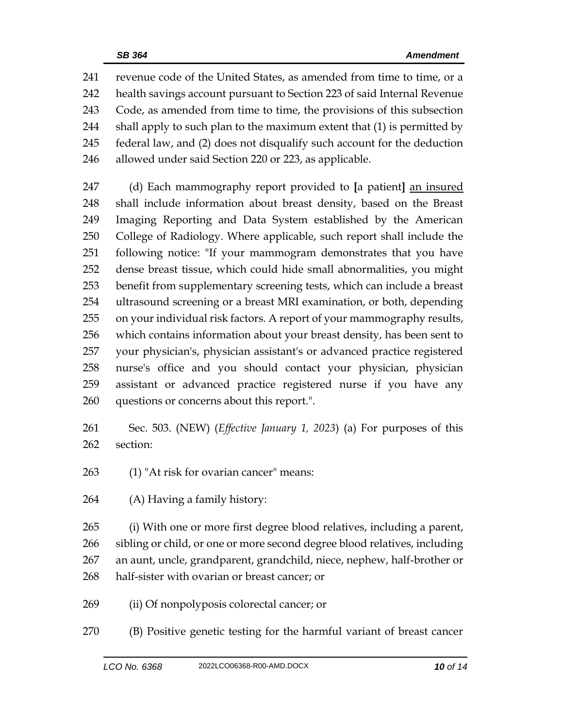revenue code of the United States, as amended from time to time, or a health savings account pursuant to Section 223 of said Internal Revenue Code, as amended from time to time, the provisions of this subsection 244 shall apply to such plan to the maximum extent that (1) is permitted by federal law, and (2) does not disqualify such account for the deduction allowed under said Section 220 or 223, as applicable.

 (d) Each mammography report provided to **[**a patient**]** an insured shall include information about breast density, based on the Breast Imaging Reporting and Data System established by the American College of Radiology. Where applicable, such report shall include the following notice: "If your mammogram demonstrates that you have dense breast tissue, which could hide small abnormalities, you might benefit from supplementary screening tests, which can include a breast ultrasound screening or a breast MRI examination, or both, depending on your individual risk factors. A report of your mammography results, which contains information about your breast density, has been sent to your physician's, physician assistant's or advanced practice registered nurse's office and you should contact your physician, physician assistant or advanced practice registered nurse if you have any questions or concerns about this report.".

- Sec. 503. (NEW) (*Effective January 1, 2023*) (a) For purposes of this section:
- (1) "At risk for ovarian cancer" means:
- (A) Having a family history:

 (i) With one or more first degree blood relatives, including a parent, sibling or child, or one or more second degree blood relatives, including an aunt, uncle, grandparent, grandchild, niece, nephew, half-brother or half-sister with ovarian or breast cancer; or

- (ii) Of nonpolyposis colorectal cancer; or
- (B) Positive genetic testing for the harmful variant of breast cancer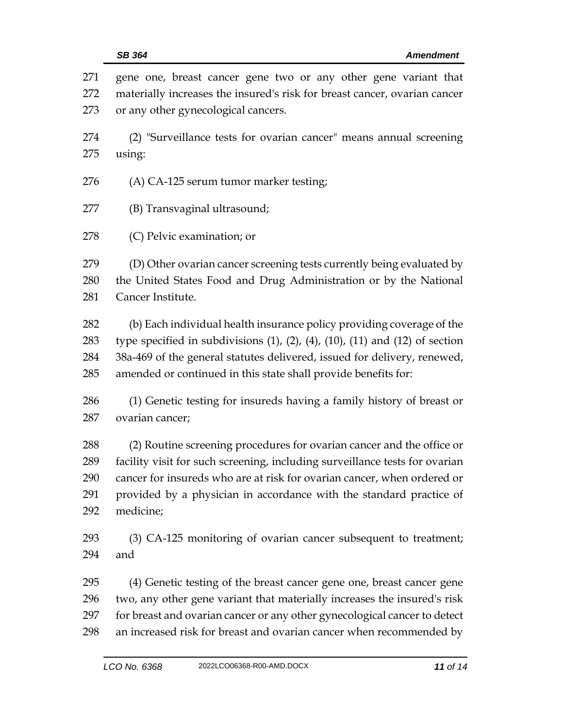| 271<br>272<br>273 | gene one, breast cancer gene two or any other gene variant that<br>materially increases the insured's risk for breast cancer, ovarian cancer<br>or any other gynecological cancers. |  |  |
|-------------------|-------------------------------------------------------------------------------------------------------------------------------------------------------------------------------------|--|--|
| 274<br>275        | (2) "Surveillance tests for ovarian cancer" means annual screening<br>using:                                                                                                        |  |  |
| 276               | (A) CA-125 serum tumor marker testing;                                                                                                                                              |  |  |
| 277               | (B) Transvaginal ultrasound;                                                                                                                                                        |  |  |
| 278               | (C) Pelvic examination; or                                                                                                                                                          |  |  |
| 279               | (D) Other ovarian cancer screening tests currently being evaluated by                                                                                                               |  |  |
| 280               | the United States Food and Drug Administration or by the National                                                                                                                   |  |  |
| 281               | Cancer Institute.                                                                                                                                                                   |  |  |
| 282               | (b) Each individual health insurance policy providing coverage of the                                                                                                               |  |  |
| 283               | type specified in subdivisions $(1)$ , $(2)$ , $(4)$ , $(10)$ , $(11)$ and $(12)$ of section                                                                                        |  |  |
| 284               | 38a-469 of the general statutes delivered, issued for delivery, renewed,                                                                                                            |  |  |
| 285               | amended or continued in this state shall provide benefits for:                                                                                                                      |  |  |
| 286               | (1) Genetic testing for insureds having a family history of breast or                                                                                                               |  |  |
| 287               | ovarian cancer;                                                                                                                                                                     |  |  |
| 288               | (2) Routine screening procedures for ovarian cancer and the office or                                                                                                               |  |  |
| 289               | facility visit for such screening, including surveillance tests for ovarian                                                                                                         |  |  |
| 290               | cancer for insureds who are at risk for ovarian cancer, when ordered or                                                                                                             |  |  |
| 291               | provided by a physician in accordance with the standard practice of                                                                                                                 |  |  |
| 292               | medicine;                                                                                                                                                                           |  |  |
| 293               | (3) CA-125 monitoring of ovarian cancer subsequent to treatment;                                                                                                                    |  |  |
| 294               | and                                                                                                                                                                                 |  |  |
| 295               | (4) Genetic testing of the breast cancer gene one, breast cancer gene                                                                                                               |  |  |
| 296               | two, any other gene variant that materially increases the insured's risk                                                                                                            |  |  |
| 297               | for breast and ovarian cancer or any other gynecological cancer to detect                                                                                                           |  |  |
| 298               | an increased risk for breast and ovarian cancer when recommended by                                                                                                                 |  |  |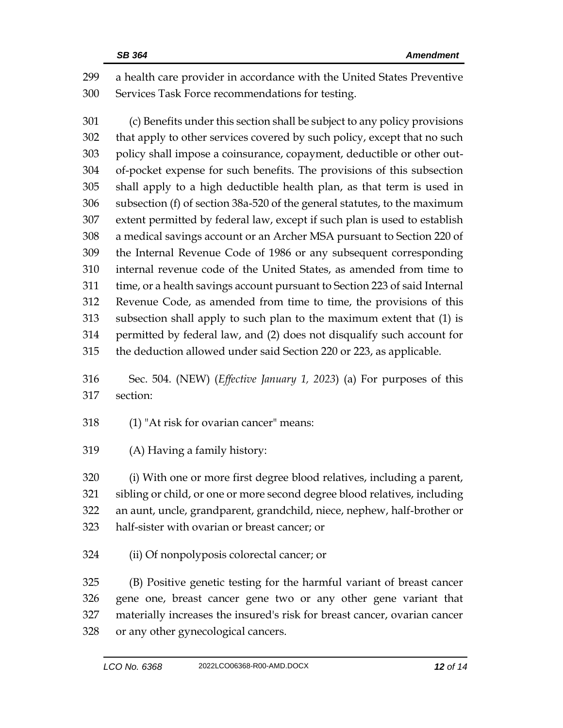a health care provider in accordance with the United States Preventive Services Task Force recommendations for testing.

 (c) Benefits under this section shall be subject to any policy provisions that apply to other services covered by such policy, except that no such policy shall impose a coinsurance, copayment, deductible or other out- of-pocket expense for such benefits. The provisions of this subsection shall apply to a high deductible health plan, as that term is used in subsection (f) of section 38a-520 of the general statutes, to the maximum extent permitted by federal law, except if such plan is used to establish a medical savings account or an Archer MSA pursuant to Section 220 of the Internal Revenue Code of 1986 or any subsequent corresponding internal revenue code of the United States, as amended from time to time, or a health savings account pursuant to Section 223 of said Internal Revenue Code, as amended from time to time, the provisions of this subsection shall apply to such plan to the maximum extent that (1) is permitted by federal law, and (2) does not disqualify such account for the deduction allowed under said Section 220 or 223, as applicable.

 Sec. 504. (NEW) (*Effective January 1, 2023*) (a) For purposes of this section:

(1) "At risk for ovarian cancer" means:

(A) Having a family history:

 (i) With one or more first degree blood relatives, including a parent, sibling or child, or one or more second degree blood relatives, including an aunt, uncle, grandparent, grandchild, niece, nephew, half-brother or half-sister with ovarian or breast cancer; or

(ii) Of nonpolyposis colorectal cancer; or

 (B) Positive genetic testing for the harmful variant of breast cancer gene one, breast cancer gene two or any other gene variant that materially increases the insured's risk for breast cancer, ovarian cancer or any other gynecological cancers.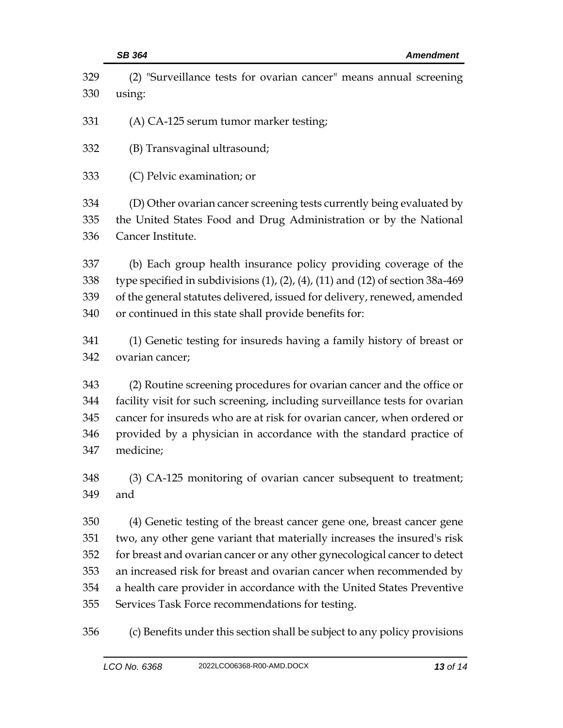| 329                             | (2) "Surveillance tests for ovarian cancer" means annual screening                                                                                                                                                                                                                                                  |  |
|---------------------------------|---------------------------------------------------------------------------------------------------------------------------------------------------------------------------------------------------------------------------------------------------------------------------------------------------------------------|--|
| 330                             | using:                                                                                                                                                                                                                                                                                                              |  |
| 331                             | (A) CA-125 serum tumor marker testing;                                                                                                                                                                                                                                                                              |  |
| 332                             | (B) Transvaginal ultrasound;                                                                                                                                                                                                                                                                                        |  |
| 333                             | (C) Pelvic examination; or                                                                                                                                                                                                                                                                                          |  |
| 334<br>335<br>336               | (D) Other ovarian cancer screening tests currently being evaluated by<br>the United States Food and Drug Administration or by the National<br>Cancer Institute.                                                                                                                                                     |  |
| 337<br>338<br>339<br>340        | (b) Each group health insurance policy providing coverage of the<br>type specified in subdivisions $(1)$ , $(2)$ , $(4)$ , $(11)$ and $(12)$ of section 38a-469<br>of the general statutes delivered, issued for delivery, renewed, amended<br>or continued in this state shall provide benefits for:               |  |
| 341<br>342                      | (1) Genetic testing for insureds having a family history of breast or<br>ovarian cancer;                                                                                                                                                                                                                            |  |
| 343<br>344<br>345<br>346<br>347 | (2) Routine screening procedures for ovarian cancer and the office or<br>facility visit for such screening, including surveillance tests for ovarian<br>cancer for insureds who are at risk for ovarian cancer, when ordered or<br>provided by a physician in accordance with the standard practice of<br>medicine; |  |
| 348<br>349                      | (3) CA-125 monitoring of ovarian cancer subsequent to treatment;<br>and                                                                                                                                                                                                                                             |  |
| 350                             | (4) Genetic testing of the breast cancer gene one, breast cancer gene                                                                                                                                                                                                                                               |  |
| 351                             | two, any other gene variant that materially increases the insured's risk                                                                                                                                                                                                                                            |  |
| 352                             | for breast and ovarian cancer or any other gynecological cancer to detect                                                                                                                                                                                                                                           |  |
| 353                             | an increased risk for breast and ovarian cancer when recommended by                                                                                                                                                                                                                                                 |  |
| 354                             | a health care provider in accordance with the United States Preventive                                                                                                                                                                                                                                              |  |
| 355                             | Services Task Force recommendations for testing.                                                                                                                                                                                                                                                                    |  |
| 356                             | (c) Benefits under this section shall be subject to any policy provisions                                                                                                                                                                                                                                           |  |